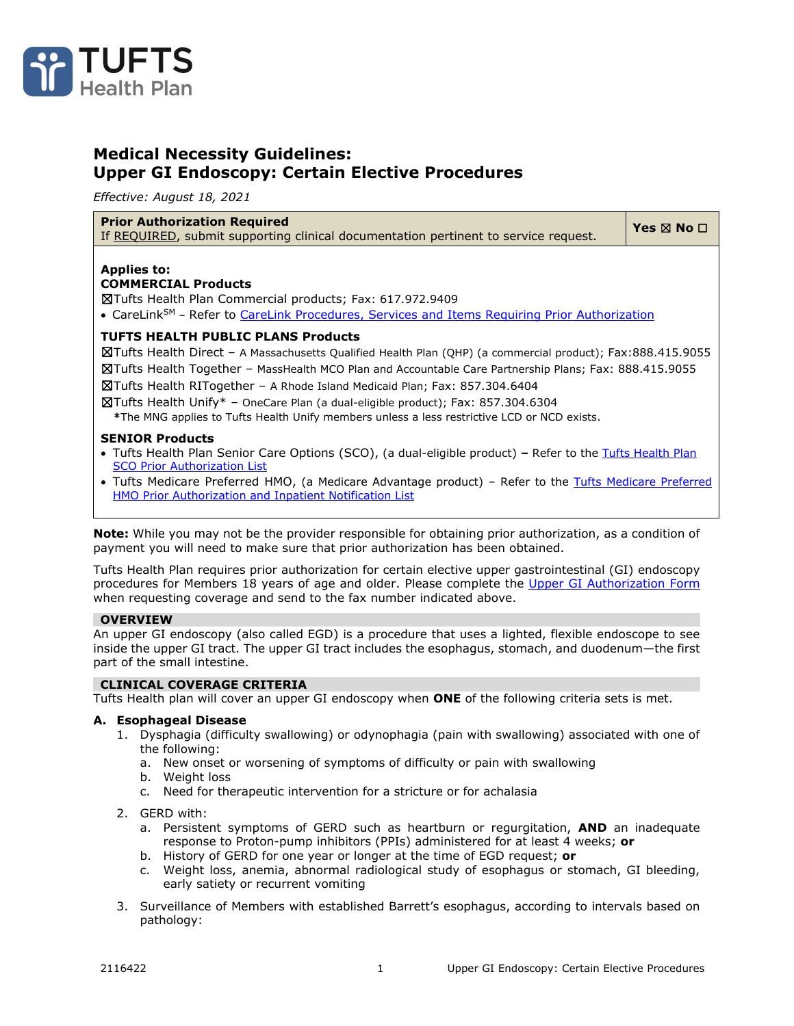

# **Medical Necessity Guidelines: Upper GI Endoscopy: Certain Elective Procedures**

*Effective: August 18, 2021*

#### **Prior Authorization Required**

**Prior Authorization Required**<br>If <u>REQUIRED</u>, submit supporting clinical documentation pertinent to service request. │ Yes ⊠ No □

#### **Applies to: COMMERCIAL Products**

☒Tufts Health Plan Commercial products; Fax: 617.972.9409

• CareLink<sup>SM</sup> - Refer to [CareLink Procedures, Services and Items Requiring Prior Authorization](https://tuftshealthplan.com/documents/providers/guidelines/clinical-resources/carelink-procedures-require-pa)

# **TUFTS HEALTH PUBLIC PLANS Products**

☒Tufts Health Direct – A Massachusetts Qualified Health Plan (QHP) (a commercial product); Fax:888.415.9055

☒Tufts Health Together – MassHealth MCO Plan and Accountable Care Partnership Plans; Fax: 888.415.9055

☒Tufts Health RITogether – A Rhode Island Medicaid Plan; Fax: 857.304.6404

☒Tufts Health Unify\* – OneCare Plan (a dual-eligible product); Fax: 857.304.6304

**\***The MNG applies to Tufts Health Unify members unless a less restrictive LCD or NCD exists.

#### **SENIOR Products**

- Tufts Health Plan Senior Care Options (SCO), (a dual-eligible product) **–** Refer to the [Tufts Health Plan](https://tuftshealthplan.com/documents/providers/lists/tufts-health-plan-senior-care-options-pr)  [SCO Prior Authorization List](https://tuftshealthplan.com/documents/providers/lists/tufts-health-plan-senior-care-options-pr)
- • [Tufts Medicare Preferred](https://tuftshealthplan.com/documents/providers/lists/tufts-medicare-preferred-hmo-prior-autho) HMO, (a Medicare Advantage product) Refer to the Tufts Medicare Preferred [HMO Prior Authorization and Inpatient Notification List](https://tuftshealthplan.com/documents/providers/lists/tufts-medicare-preferred-hmo-prior-autho)

**Note:** While you may not be the provider responsible for obtaining prior authorization, as a condition of payment you will need to make sure that prior authorization has been obtained.

Tufts Health Plan requires prior authorization for certain elective upper gastrointestinal (GI) endoscopy procedures for Members 18 years of age and older. Please complete the [Upper GI Authorization Form](https://tuftshealthplan.com/documents/providers/forms/upper-gi-endoscopy-authorization-form) when requesting coverage and send to the fax number indicated above.

#### **OVERVIEW**

An upper GI endoscopy (also called EGD) is a procedure that uses a lighted, flexible endoscope to see inside the upper GI tract. The upper GI tract includes the esophagus, stomach, and duodenum—the first part of the small intestine.

# Tufts Health plan will cover an upper GI endoscopy when **ONE** of the following criteria sets is met.

**CLINICAL COVERAGE CRITERIA**

# **A. Esophageal Disease**

- 1. Dysphagia (difficulty swallowing) or odynophagia (pain with swallowing) associated with one of the following:
	- a. New onset or worsening of symptoms of difficulty or pain with swallowing
	- b. Weight loss
	- c. Need for therapeutic intervention for a stricture or for achalasia
- 2. GERD with:
	- a. Persistent symptoms of GERD such as heartburn or regurgitation, **AND** an inadequate response to Proton-pump inhibitors (PPIs) administered for at least 4 weeks; **or**
	- b. History of GERD for one year or longer at the time of EGD request; **or**
	- c. Weight loss, anemia, abnormal radiological study of esophagus or stomach, GI bleeding, early satiety or recurrent vomiting
- 3. Surveillance of Members with established Barrett's esophagus, according to intervals based on pathology: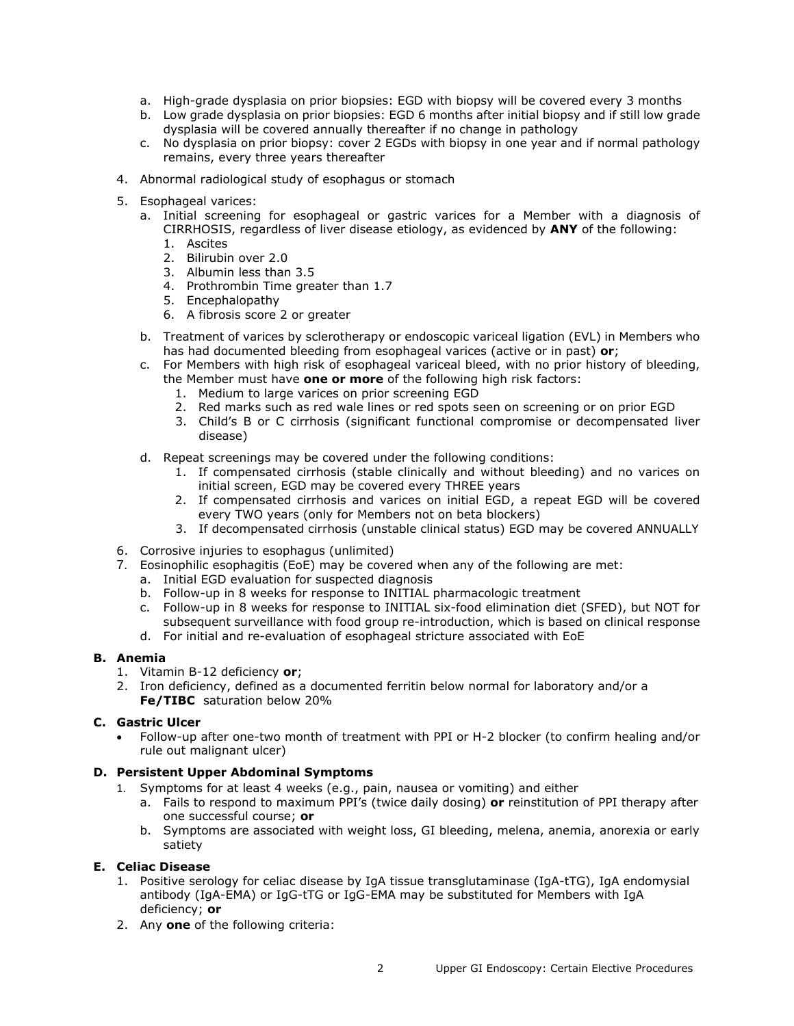- a. High-grade dysplasia on prior biopsies: EGD with biopsy will be covered every 3 months
- b. Low grade dysplasia on prior biopsies: EGD 6 months after initial biopsy and if still low grade dysplasia will be covered annually thereafter if no change in pathology
- c. No dysplasia on prior biopsy: cover 2 EGDs with biopsy in one year and if normal pathology remains, every three years thereafter
- 4. Abnormal radiological study of esophagus or stomach
- 5. Esophageal varices:
	- a. Initial screening for esophageal or gastric varices for a Member with a diagnosis of CIRRHOSIS, regardless of liver disease etiology, as evidenced by **ANY** of the following:
		- 1. Ascites
		- 2. Bilirubin over 2.0
		- 3. Albumin less than 3.5
		- 4. Prothrombin Time greater than 1.7
		- 5. Encephalopathy
		- 6. A fibrosis score 2 or greater
	- b. Treatment of varices by sclerotherapy or endoscopic variceal ligation (EVL) in Members who has had documented bleeding from esophageal varices (active or in past) **or**;
	- c. For Members with high risk of esophageal variceal bleed, with no prior history of bleeding, the Member must have **one or more** of the following high risk factors:
		- 1. Medium to large varices on prior screening EGD
		- 2. Red marks such as red wale lines or red spots seen on screening or on prior EGD
		- 3. Child's B or C cirrhosis (significant functional compromise or decompensated liver disease)
	- d. Repeat screenings may be covered under the following conditions:
		- 1. If compensated cirrhosis (stable clinically and without bleeding) and no varices on initial screen, EGD may be covered every THREE years
		- 2. If compensated cirrhosis and varices on initial EGD, a repeat EGD will be covered every TWO years (only for Members not on beta blockers)
		- 3. If decompensated cirrhosis (unstable clinical status) EGD may be covered ANNUALLY
- 6. Corrosive injuries to esophagus (unlimited)
- 7. Eosinophilic esophagitis (EoE) may be covered when any of the following are met:
	- a. Initial EGD evaluation for suspected diagnosis
	- b. Follow-up in 8 weeks for response to INITIAL pharmacologic treatment
	- c. Follow-up in 8 weeks for response to INITIAL six-food elimination diet (SFED), but NOT for subsequent surveillance with food group re-introduction, which is based on clinical response
	- d. For initial and re-evaluation of esophageal stricture associated with EoE

# **B. Anemia**

- 1. Vitamin B-12 deficiency **or**;
- 2. Iron deficiency, defined as a documented ferritin below normal for laboratory and/or a **Fe/TIBC** saturation below 20%

# **C. Gastric Ulcer**

• Follow-up after one-two month of treatment with PPI or H-2 blocker (to confirm healing and/or rule out malignant ulcer)

# **D. Persistent Upper Abdominal Symptoms**

- 1. Symptoms for at least 4 weeks (e.g., pain, nausea or vomiting) and either
	- a. Fails to respond to maximum PPI's (twice daily dosing) **or** reinstitution of PPI therapy after one successful course; **or**
	- b. Symptoms are associated with weight loss, GI bleeding, melena, anemia, anorexia or early satiety

# **E. Celiac Disease**

- 1. Positive serology for celiac disease by IgA tissue transglutaminase (IgA-tTG), IgA endomysial antibody (IgA-EMA) or IgG-tTG or IgG-EMA may be substituted for Members with IgA deficiency; **or**
- 2. Any **one** of the following criteria: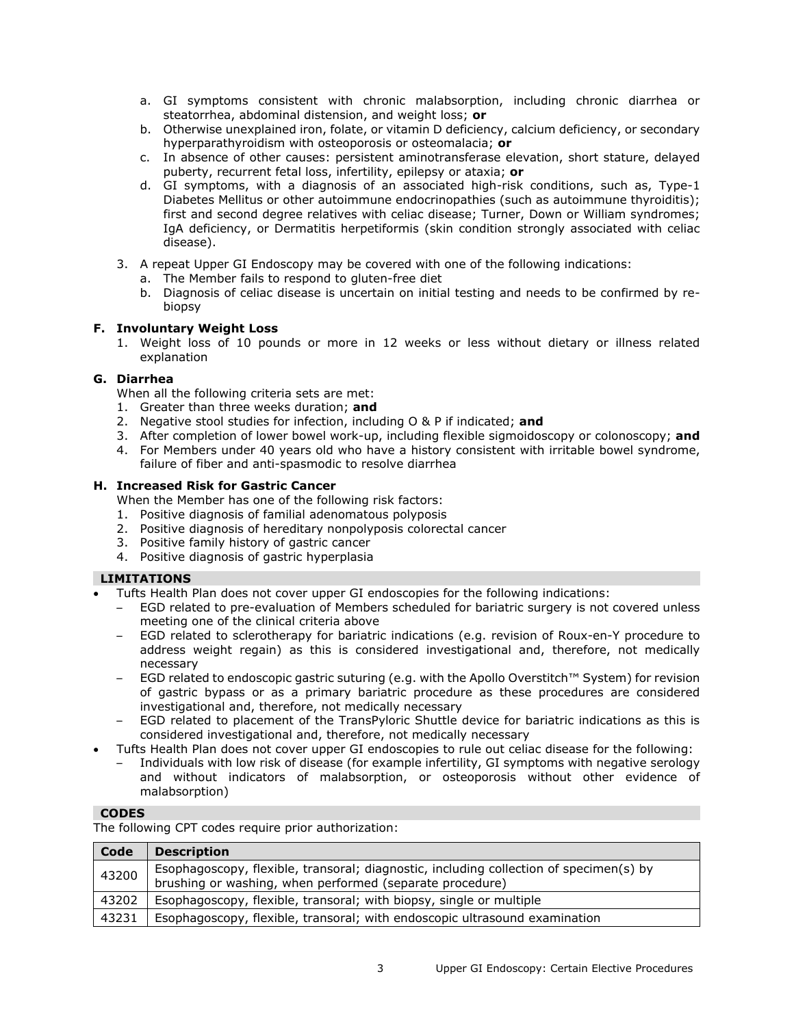- a. GI symptoms consistent with chronic malabsorption, including chronic diarrhea or steatorrhea, abdominal distension, and weight loss; **or**
- b. Otherwise unexplained iron, folate, or vitamin D deficiency, calcium deficiency, or secondary hyperparathyroidism with osteoporosis or osteomalacia; **or**
- c. In absence of other causes: persistent aminotransferase elevation, short stature, delayed puberty, recurrent fetal loss, infertility, epilepsy or ataxia; **or**
- d. GI symptoms, with a diagnosis of an associated high-risk conditions, such as, Type-1 Diabetes Mellitus or other autoimmune endocrinopathies (such as autoimmune thyroiditis); first and second degree relatives with celiac disease; Turner, Down or William syndromes; IgA deficiency, or Dermatitis herpetiformis (skin condition strongly associated with celiac disease).
- 3. A repeat Upper GI Endoscopy may be covered with one of the following indications:
	- a. The Member fails to respond to gluten-free diet
	- b. Diagnosis of celiac disease is uncertain on initial testing and needs to be confirmed by rebiopsy

# **F. Involuntary Weight Loss**

1. Weight loss of 10 pounds or more in 12 weeks or less without dietary or illness related explanation

#### **G. Diarrhea**

When all the following criteria sets are met:

- 1. Greater than three weeks duration; **and**
- 2. Negative stool studies for infection, including O & P if indicated; **and**
- 3. After completion of lower bowel work-up, including flexible sigmoidoscopy or colonoscopy; **and**
- 4. For Members under 40 years old who have a history consistent with irritable bowel syndrome, failure of fiber and anti-spasmodic to resolve diarrhea

#### **H. Increased Risk for Gastric Cancer**

When the Member has one of the following risk factors:

- 1. Positive diagnosis of familial adenomatous polyposis
- 2. Positive diagnosis of hereditary nonpolyposis colorectal cancer
- 3. Positive family history of gastric cancer
- 4. Positive diagnosis of gastric hyperplasia

# **LIMITATIONS**

- Tufts Health Plan does not cover upper GI endoscopies for the following indications:
- EGD related to pre-evaluation of Members scheduled for bariatric surgery is not covered unless meeting one of the clinical criteria above
- EGD related to sclerotherapy for bariatric indications (e.g. revision of Roux-en-Y procedure to address weight regain) as this is considered investigational and, therefore, not medically necessary
- EGD related to endoscopic gastric suturing (e.g. with the Apollo Overstitch™ System) for revision of gastric bypass or as a primary bariatric procedure as these procedures are considered investigational and, therefore, not medically necessary
- EGD related to placement of the TransPyloric Shuttle device for bariatric indications as this is considered investigational and, therefore, not medically necessary
- Tufts Health Plan does not cover upper GI endoscopies to rule out celiac disease for the following:
	- Individuals with low risk of disease (for example infertility, GI symptoms with negative serology and without indicators of malabsorption, or osteoporosis without other evidence of malabsorption)

#### **CODES**

The following CPT codes require prior authorization:

| Code  | <b>Description</b>                                                                                                                                 |
|-------|----------------------------------------------------------------------------------------------------------------------------------------------------|
| 43200 | Esophagoscopy, flexible, transoral; diagnostic, including collection of specimen(s) by<br>brushing or washing, when performed (separate procedure) |
| 43202 | Esophagoscopy, flexible, transoral; with biopsy, single or multiple                                                                                |
| 43231 | Esophagoscopy, flexible, transoral; with endoscopic ultrasound examination                                                                         |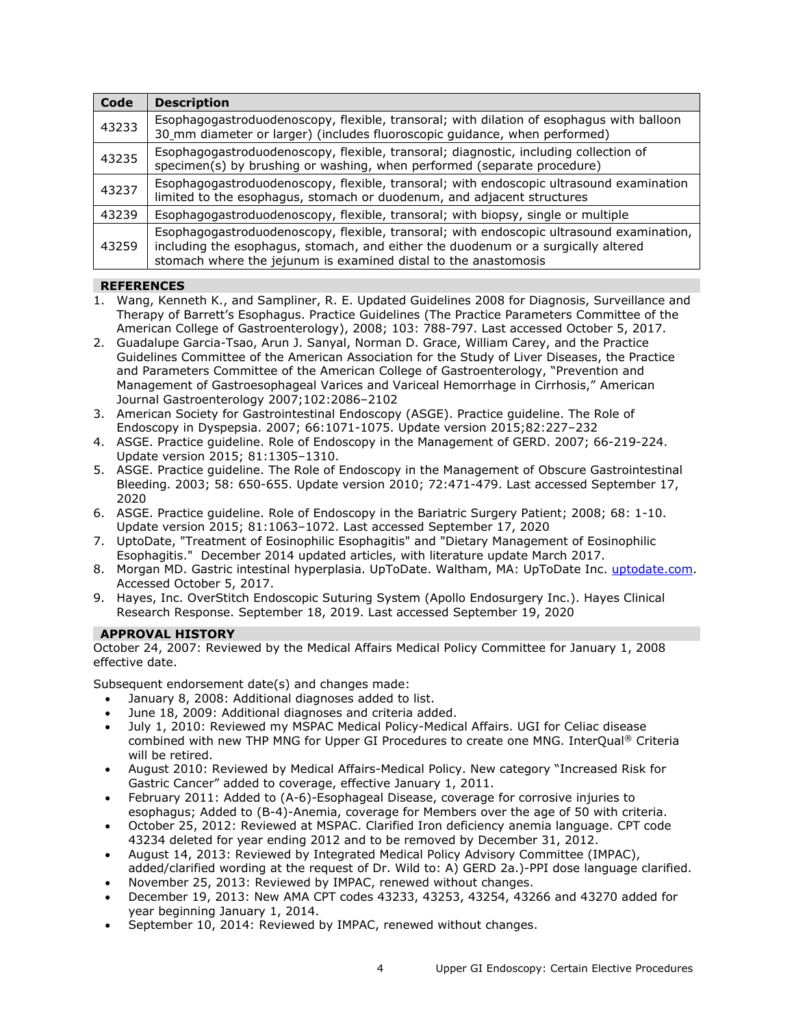| Code  | <b>Description</b>                                                                                                                                                                                                                               |
|-------|--------------------------------------------------------------------------------------------------------------------------------------------------------------------------------------------------------------------------------------------------|
| 43233 | Esophagogastroduodenoscopy, flexible, transoral; with dilation of esophagus with balloon<br>30_mm diameter or larger) (includes fluoroscopic guidance, when performed)                                                                           |
| 43235 | Esophagogastroduodenoscopy, flexible, transoral; diagnostic, including collection of<br>specimen(s) by brushing or washing, when performed (separate procedure)                                                                                  |
| 43237 | Esophagogastroduodenoscopy, flexible, transoral; with endoscopic ultrasound examination<br>limited to the esophagus, stomach or duodenum, and adjacent structures                                                                                |
| 43239 | Esophagogastroduodenoscopy, flexible, transoral; with biopsy, single or multiple                                                                                                                                                                 |
| 43259 | Esophagogastroduodenoscopy, flexible, transoral; with endoscopic ultrasound examination,<br>including the esophagus, stomach, and either the duodenum or a surgically altered<br>stomach where the jejunum is examined distal to the anastomosis |

# **REFERENCES**

- 1. Wang, Kenneth K., and Sampliner, R. E. Updated Guidelines 2008 for Diagnosis, Surveillance and Therapy of Barrett's Esophagus. Practice Guidelines (The Practice Parameters Committee of the American College of Gastroenterology), 2008; 103: 788-797. Last accessed October 5, 2017.
- 2. Guadalupe Garcia-Tsao, Arun J. Sanyal, Norman D. Grace, William Carey, and the Practice Guidelines Committee of the American Association for the Study of Liver Diseases, the Practice and Parameters Committee of the American College of Gastroenterology, "Prevention and Management of Gastroesophageal Varices and Variceal Hemorrhage in Cirrhosis," American Journal Gastroenterology 2007;102:2086–2102
- 3. American Society for Gastrointestinal Endoscopy (ASGE). Practice guideline. The Role of Endoscopy in Dyspepsia. 2007; 66:1071-1075. Update version 2015;82:227–232
- 4. ASGE. Practice guideline. Role of Endoscopy in the Management of GERD. 2007; 66-219-224. Update version 2015; 81:1305–1310.
- 5. ASGE. Practice guideline. The Role of Endoscopy in the Management of Obscure Gastrointestinal Bleeding. 2003; 58: 650-655. Update version 2010; 72:471-479. Last accessed September 17, 2020
- 6. ASGE. Practice guideline. Role of Endoscopy in the Bariatric Surgery Patient; 2008; 68: 1-10. Update version 2015; 81:1063–1072. Last accessed September 17, 2020
- 7. UptoDate, "Treatment of Eosinophilic Esophagitis" and "Dietary Management of Eosinophilic Esophagitis." December 2014 updated articles, with literature update March 2017.
- 8. Morgan MD. Gastric intestinal hyperplasia. UpToDate. Waltham, MA: UpToDate Inc. [uptodate.com.](http://www.uptodate.com/) Accessed October 5, 2017.
- 9. Hayes, Inc. OverStitch Endoscopic Suturing System (Apollo Endosurgery Inc.). Hayes Clinical Research Response. September 18, 2019. Last accessed September 19, 2020

# **APPROVAL HISTORY**

October 24, 2007: Reviewed by the Medical Affairs Medical Policy Committee for January 1, 2008 effective date.

Subsequent endorsement date(s) and changes made:

- January 8, 2008: Additional diagnoses added to list.
- June 18, 2009: Additional diagnoses and criteria added.
- July 1, 2010: Reviewed my MSPAC Medical Policy-Medical Affairs. UGI for Celiac disease combined with new THP MNG for Upper GI Procedures to create one MNG. InterQual® Criteria will be retired.
- August 2010: Reviewed by Medical Affairs-Medical Policy. New category "Increased Risk for Gastric Cancer" added to coverage, effective January 1, 2011.
- February 2011: Added to (A-6)-Esophageal Disease, coverage for corrosive injuries to esophagus; Added to (B-4)-Anemia, coverage for Members over the age of 50 with criteria.
- October 25, 2012: Reviewed at MSPAC. Clarified Iron deficiency anemia language. CPT code 43234 deleted for year ending 2012 and to be removed by December 31, 2012.
- August 14, 2013: Reviewed by Integrated Medical Policy Advisory Committee (IMPAC), added/clarified wording at the request of Dr. Wild to: A) GERD 2a.)-PPI dose language clarified.
- November 25, 2013: Reviewed by IMPAC, renewed without changes.
- December 19, 2013: New AMA CPT codes 43233, 43253, 43254, 43266 and 43270 added for year beginning January 1, 2014.
- September 10, 2014: Reviewed by IMPAC, renewed without changes.